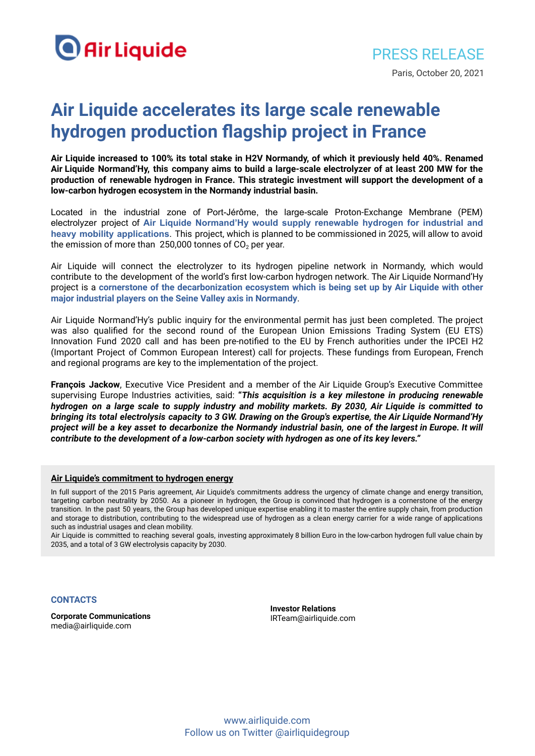

## **Air Liquide accelerates its large scale renewable hydrogen production flagship project in France**

Air Liquide increased to 100% its total stake in H2V Normandy, of which it previously held 40%. Renamed Air Liquide Normand'Hy, this company aims to build a large-scale electrolyzer of at least 200 MW for the **production of renewable hydrogen in France. This strategic investment will support the development of a low-carbon hydrogen ecosystem in the Normandy industrial basin.**

Located in the industrial zone of Port-Jérôme, the large-scale Proton-Exchange Membrane (PEM) electrolyzer project of **Air Liquide Normand'Hy would supply renewable hydrogen for industrial and heavy mobility applications**. This project, which is planned to be commissioned in 2025, will allow to avoid the emission of more than 250,000 tonnes of  $CO<sub>2</sub>$  per year.

Air Liquide will connect the electrolyzer to its hydrogen pipeline network in Normandy, which would contribute to the development of the world's first low-carbon hydrogen network. The Air Liquide Normand'Hy project is a **cornerstone of the decarbonization ecosystem which is being set up by Air Liquide with other major industrial players on the Seine Valley axis in Normandy**.

Air Liquide Normand'Hy's public inquiry for the environmental permit has just been completed. The project was also qualified for the second round of the European Union Emissions Trading System (EU ETS) Innovation Fund 2020 call and has been pre-notified to the EU by French authorities under the IPCEI H2 (Important Project of Common European Interest) call for projects. These fundings from European, French and regional programs are key to the implementation of the project.

**François Jackow**, Executive Vice President and a member of the Air Liquide Group's Executive Committee supervising Europe Industries activities, said: **"***This acquisition is a key milestone in producing renewable* hydrogen on a large scale to supply industry and mobility markets. By 2030, Air Liquide is committed to bringing its total electrolysis capacity to 3 GW. Drawing on the Group's expertise, the Air Liquide Normand'Hy project will be a key asset to decarbonize the Normandy industrial basin, one of the largest in Europe. It will *contribute to the development of a low-carbon society with hydrogen as one of its key levers."*

## **Air Liquide's commitment to hydrogen energy**

In full support of the 2015 Paris agreement, Air Liquide's commitments address the urgency of climate change and energy transition, targeting carbon neutrality by 2050. As a pioneer in hydrogen, the Group is convinced that hydrogen is a cornerstone of the energy transition. In the past 50 years, the Group has developed unique expertise enabling it to master the entire supply chain, from production and storage to distribution, contributing to the widespread use of hydrogen as a clean energy carrier for a wide range of applications such as industrial usages and clean mobility.

Air Liquide is committed to reaching several goals, investing approximately 8 billion Euro in the low-carbon hydrogen full value chain by 2035, and a total of 3 GW electrolysis capacity by 2030.

## **CONTACTS**

**Corporate Communications** media@airliquide.com

**Investor Relations** IRTeam@airliquide.com